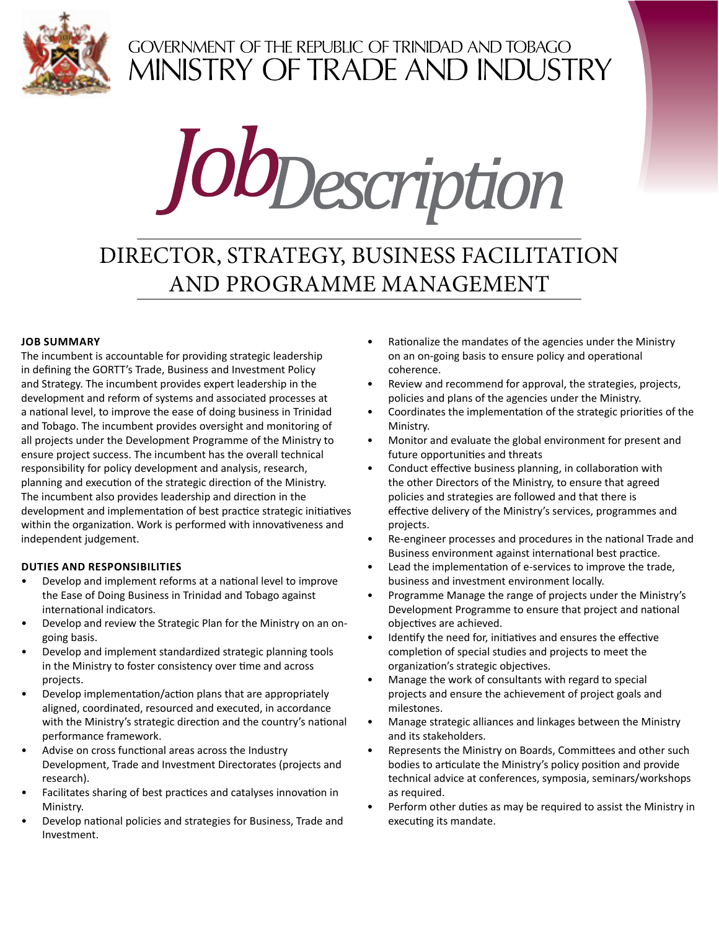

# GOVERNMENT OF THE REPUBLIC OF TRINIDAD AND TOBAGO<br>MINISTRY OF TRADE AND INDUSTRY



# DIRECTOR, STRATEGY, BUSINESS FACILITATION AND PROGRAMME MANAGEMENT

## **Job Summary**

The incumbent is accountable for providing strategic leadership in defining the GORTT's Trade, Business and Investment Policy and Strategy. The incumbent provides expert leadership in the development and reform of systems and associated processes at a national level, to improve the ease of doing business in Trinidad and Tobago. The incumbent provides oversight and monitoring of all projects under the Development Programme of the Ministry to ensure project success. The incumbent has the overall technical responsibility for policy development and analysis, research, planning and execution of the strategic direction of the Ministry. The incumbent also provides leadership and direction in the development and implementation of best practice strategic initiatives within the organization. Work is performed with innovativeness and independent judgement.

## **DUTIES AND RESPONSIBILITIES**

- Develop and implement reforms at a national level to improve the Ease of Doing Business in Trinidad and Tobago against international indicators.
- Develop and review the Strategic Plan for the Ministry on an ongoing basis.
- Develop and implement standardized strategic planning tools in the Ministry to foster consistency over time and across projects.
- Develop implementation/action plans that are appropriately aligned, coordinated, resourced and executed, in accordance with the Ministry's strategic direction and the country's national performance framework.
- Advise on cross functional areas across the Industry Development, Trade and Investment Directorates (projects and research).
- Facilitates sharing of best practices and catalyses innovation in Ministry.
- Develop national policies and strategies for Business, Trade and Investment.
- Rationalize the mandates of the agencies under the Ministry on an on-going basis to ensure policy and operational coherence.
- Review and recommend for approval, the strategies, projects, policies and plans of the agencies under the Ministry.
- Coordinates the implementation of the strategic priorities of the Ministry.
- Monitor and evaluate the global environment for present and future opportunities and threats
- Conduct effective business planning, in collaboration with the other Directors of the Ministry, to ensure that agreed policies and strategies are followed and that there is effective delivery of the Ministry's services, programmes and projects.
- Re-engineer processes and procedures in the national Trade and Business environment against international best practice.
- Lead the implementation of e-services to improve the trade, business and investment environment locally.
- Programme Manage the range of projects under the Ministry's Development Programme to ensure that project and national objectives are achieved.
- Identify the need for, initiatives and ensures the effective completion of special studies and projects to meet the organization's strategic objectives.
- Manage the work of consultants with regard to special projects and ensure the achievement of project goals and milestones.
- Manage strategic alliances and linkages between the Ministry and its stakeholders.
- Represents the Ministry on Boards, Committees and other such bodies to articulate the Ministry's policy position and provide technical advice at conferences, symposia, seminars/workshops as required.
- Perform other duties as may be required to assist the Ministry in executing its mandate.